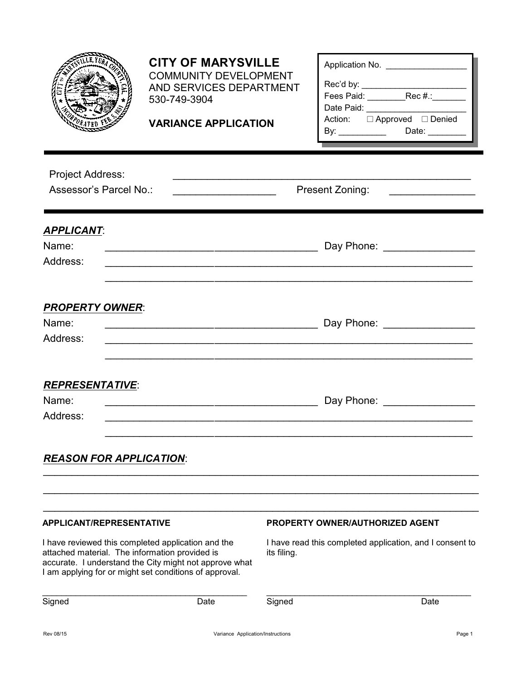|                                                                                                                                         | <b>CITY OF MARYSVILLE</b><br><b>COMMUNITY DEVELOPMENT</b><br>AND SERVICES DEPARTMENT<br>530-749-3904<br><b>VARIANCE APPLICATION</b> |                                                                                                    | Application No. _________________<br>Date Paid:<br>Action: □ Approved □ Denied |  |
|-----------------------------------------------------------------------------------------------------------------------------------------|-------------------------------------------------------------------------------------------------------------------------------------|----------------------------------------------------------------------------------------------------|--------------------------------------------------------------------------------|--|
| <b>Project Address:</b><br>Assessor's Parcel No.:                                                                                       |                                                                                                                                     |                                                                                                    | Present Zoning:<br><u> 1980 - Jan Samuel Barbara, poeta esta</u>               |  |
| <b>APPLICANT:</b><br>Name:<br>Address:                                                                                                  |                                                                                                                                     |                                                                                                    |                                                                                |  |
| <b>PROPERTY OWNER:</b><br>Name:<br>Address:                                                                                             |                                                                                                                                     |                                                                                                    | Day Phone: National Contract of the Day Phone:                                 |  |
| <b>REPRESENTATIVE:</b><br>Name:<br>Address:                                                                                             |                                                                                                                                     |                                                                                                    | Day Phone: __________________                                                  |  |
| <b>REASON FOR APPLICATION:</b>                                                                                                          |                                                                                                                                     |                                                                                                    |                                                                                |  |
| <b>APPLICANT/REPRESENTATIVE</b><br>I have reviewed this completed application and the<br>attached material. The information provided is |                                                                                                                                     | <b>PROPERTY OWNER/AUTHORIZED AGENT</b><br>I have read this completed application, and I consent to |                                                                                |  |
| accurate. I understand the City might not approve what<br>I am applying for or might set conditions of approval.<br>Signed<br>Date      |                                                                                                                                     | its filing.<br>Signed                                                                              | Date                                                                           |  |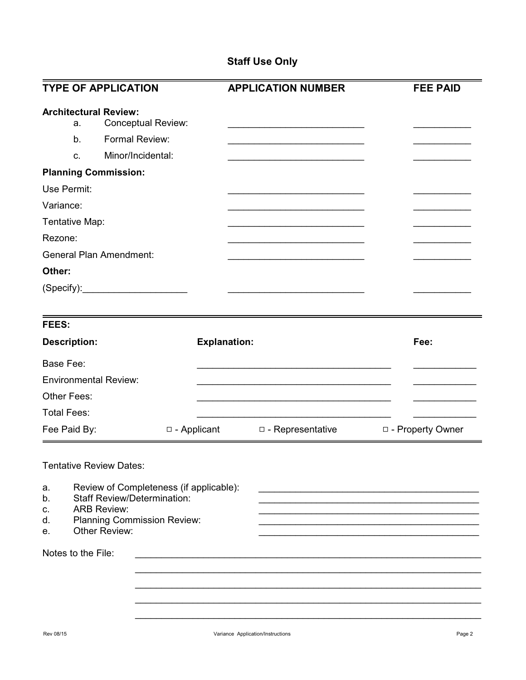## **Staff Use Only**

| <b>TYPE OF APPLICATION</b>                                                                                                                                                                                                     |                     | <b>APPLICATION NUMBER</b> | <b>FEE PAID</b>                                                     |
|--------------------------------------------------------------------------------------------------------------------------------------------------------------------------------------------------------------------------------|---------------------|---------------------------|---------------------------------------------------------------------|
| <b>Architectural Review:</b><br><b>Conceptual Review:</b><br>a.<br>Formal Review:<br>b.<br>Minor/Incidental:<br>C.<br><b>Planning Commission:</b>                                                                              |                     |                           |                                                                     |
| Use Permit:                                                                                                                                                                                                                    |                     |                           |                                                                     |
| Variance:                                                                                                                                                                                                                      |                     |                           |                                                                     |
| Tentative Map:                                                                                                                                                                                                                 |                     |                           |                                                                     |
| Rezone:                                                                                                                                                                                                                        |                     |                           |                                                                     |
| <b>General Plan Amendment:</b>                                                                                                                                                                                                 |                     |                           |                                                                     |
| Other:                                                                                                                                                                                                                         |                     |                           |                                                                     |
| (Specify): example of the state of the state of the state of the state of the state of the state of the state of the state of the state of the state of the state of the state of the state of the state of the state of the s |                     |                           |                                                                     |
| <b>FEES:</b>                                                                                                                                                                                                                   |                     |                           |                                                                     |
| <b>Description:</b>                                                                                                                                                                                                            | <b>Explanation:</b> |                           | Fee:                                                                |
| <b>Base Fee:</b>                                                                                                                                                                                                               |                     |                           |                                                                     |
| <b>Environmental Review:</b>                                                                                                                                                                                                   |                     |                           |                                                                     |
| Other Fees:                                                                                                                                                                                                                    |                     |                           |                                                                     |
| <b>Total Fees:</b>                                                                                                                                                                                                             |                     |                           |                                                                     |
| Fee Paid By:                                                                                                                                                                                                                   | $\Box$ - Applicant  | $\Box$ - Representative   | □ - Property Owner                                                  |
| <b>Tentative Review Dates:</b><br>Review of Completeness (if applicable):<br>a.<br><b>Staff Review/Determination:</b><br>b.<br><b>ARB Review:</b><br>c.<br><b>Planning Commission Review:</b><br>d.                            |                     |                           | <u> 1989 - Johann John Stone, market fransk politiker (d. 1989)</u> |
| Other Review:<br>е.                                                                                                                                                                                                            |                     |                           |                                                                     |
| Notes to the File:                                                                                                                                                                                                             |                     |                           |                                                                     |
|                                                                                                                                                                                                                                |                     |                           |                                                                     |
|                                                                                                                                                                                                                                |                     |                           |                                                                     |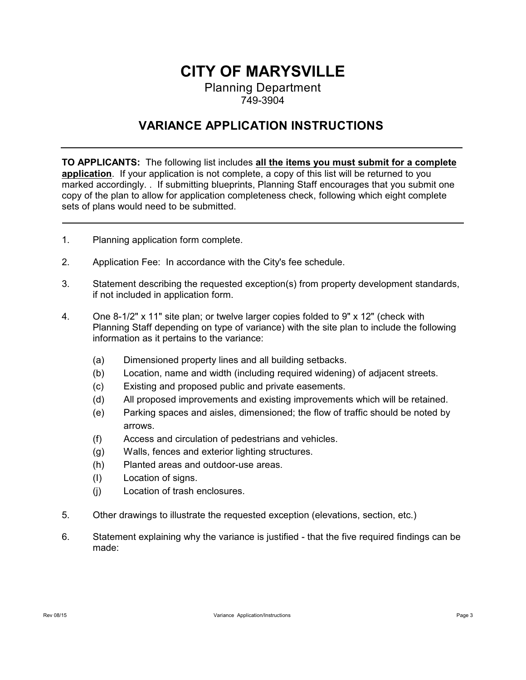## **CITY OF MARYSVILLE** Planning Department

## 749-3904

## **VARIANCE APPLICATION INSTRUCTIONS**

**TO APPLICANTS:** The following list includes **all the items you must submit for a complete application**. If your application is not complete, a copy of this list will be returned to you marked accordingly. . If submitting blueprints, Planning Staff encourages that you submit one copy of the plan to allow for application completeness check, following which eight complete sets of plans would need to be submitted.

- 1. Planning application form complete.
- 2. Application Fee: In accordance with the City's fee schedule.
- 3. Statement describing the requested exception(s) from property development standards, if not included in application form.
- 4. One 8-1/2" x 11" site plan; or twelve larger copies folded to 9" x 12" (check with Planning Staff depending on type of variance) with the site plan to include the following information as it pertains to the variance:
	- (a) Dimensioned property lines and all building setbacks.
	- (b) Location, name and width (including required widening) of adjacent streets.
	- (c) Existing and proposed public and private easements.
	- (d) All proposed improvements and existing improvements which will be retained.
	- (e) Parking spaces and aisles, dimensioned; the flow of traffic should be noted by arrows.
	- (f) Access and circulation of pedestrians and vehicles.
	- (g) Walls, fences and exterior lighting structures.
	- (h) Planted areas and outdoor-use areas.
	- (I) Location of signs.
	- (j) Location of trash enclosures.
- 5. Other drawings to illustrate the requested exception (elevations, section, etc.)
- 6. Statement explaining why the variance is justified that the five required findings can be made: